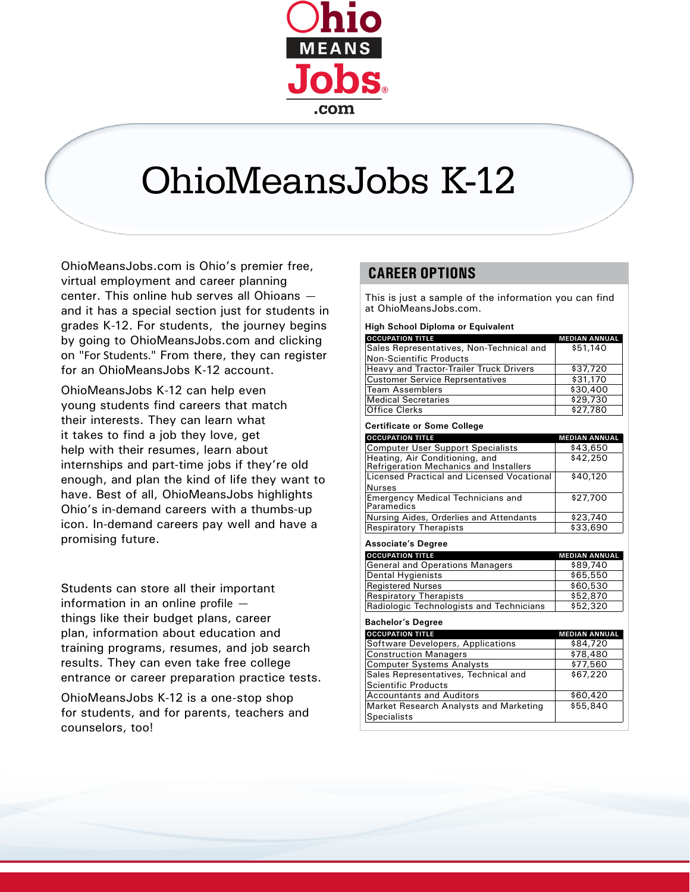

# OhioMeansJobs K-12

OhioMeansJobs.com is Ohio's premier free, virtual employment and career planning center. This online hub serves all Ohioans and it has a special section just for students in grades K-12. For students, the journey begins by going to OhioMeansJobs.com and clicking on "For Students." From there, they can register for an OhioMeansJobs K-12 account.

OhioMeansJobs K-12 can help even young students find careers that match their interests. They can learn what it takes to find a job they love, get help with their resumes, learn about internships and part-time jobs if they're old enough, and plan the kind of life they want to have. Best of all, OhioMeansJobs highlights Ohio's in-demand careers with a thumbs-up icon. In-demand careers pay well and have a promising future.

Students can store all their important information in an online profile things like their budget plans, career plan, information about education and training programs, resumes, and job search results. They can even take free college entrance or career preparation practice tests.

OhioMeansJobs K-12 is a one-stop shop for students, and for parents, teachers and counselors, too!

### **CAREER OPTIONS**

This is just a sample of the information you can find at OhioMeansJobs.com.

**High School Diploma or Equivalent**

| <b>OCCUPATION TITLE</b>                  | <b>MEDIAN ANNUAL</b> |
|------------------------------------------|----------------------|
| Sales Representatives, Non-Technical and | \$51,140             |
| Non-Scientific Products                  |                      |
| Heavy and Tractor-Trailer Truck Drivers  | \$37,720             |
| <b>Customer Service Reprsentatives</b>   | \$31,170             |
| <b>Team Assemblers</b>                   | \$30,400             |
| <b>Medical Secretaries</b>               | \$29,730             |
| <b>Office Clerks</b>                     | \$27,780             |

**Certificate or Some College**

| <b>OCCUPATION TITLE</b>                                                  | <b>MEDIAN ANNUAL</b> |
|--------------------------------------------------------------------------|----------------------|
| <b>Computer User Support Specialists</b>                                 | \$43,650             |
| Heating, Air Conditioning, and<br>Refrigeration Mechanics and Installers | \$42,250             |
| Licensed Practical and Licensed Vocational                               | \$40,120             |
| <b>Nurses</b>                                                            |                      |
| <b>Emergency Medical Technicians and</b><br>Paramedics                   | \$27,700             |
| Nursing Aides, Orderlies and Attendants                                  | \$23,740             |
| <b>Respiratory Therapists</b>                                            | \$33,690             |

**Associate's Degree**

| <b>OCCUPATION TITLE</b>                  | <b>MEDIAN ANNUAL</b> |
|------------------------------------------|----------------------|
| <b>General and Operations Managers</b>   | \$89,740             |
| <b>Dental Hygienists</b>                 | \$65,550             |
| <b>Registered Nurses</b>                 | \$60,530             |
| <b>Respiratory Therapists</b>            | \$52,870             |
| Radiologic Technologists and Technicians | \$52,320             |

#### **Bachelor's Degree**

| <b>OCCUPATION TITLE</b>                       | <b>MEDIAN ANNUAL</b> |
|-----------------------------------------------|----------------------|
| Software Developers, Applications             | \$84,720             |
| <b>Construction Managers</b>                  | \$78,480             |
| <b>Computer Systems Analysts</b>              | \$77,560             |
| Sales Representatives, Technical and          | \$67,220             |
| <b>Scientific Products</b>                    |                      |
| <b>Accountants and Auditors</b>               | \$60,420             |
| <b>Market Research Analysts and Marketing</b> | \$55,840             |
| <b>Specialists</b>                            |                      |